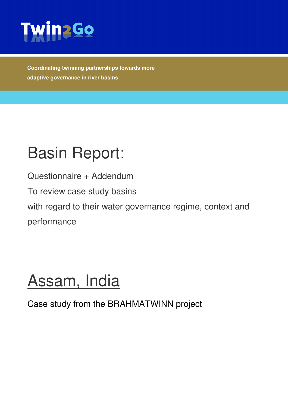

**Coordinating twinning partnerships towards more adaptive governance in river basins** 

# Basin Report:

Questionnaire + Addendum

To review case study basins

with regard to their water governance regime, context and performance

# Assam, India

Case study from the BRAHMATWINN project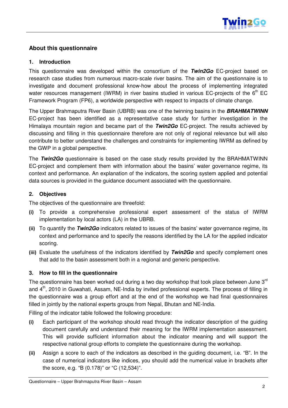

#### **About this questionnaire**

#### **1. Introduction**

This questionnaire was developed within the consortium of the **Twin2Go** EC-project based on research case studies from numerous macro-scale river basins. The aim of the questionnaire is to investigate and document professional know-how about the process of implementing integrated water resources management (IWRM) in river basins studied in various EC-projects of the  $6<sup>th</sup>$  EC Framework Program (FP6), a worldwide perspective with respect to impacts of climate change.

The Upper Brahmaputra River Basin (UBRB) was one of the twinning basins in the **BRAHMATWINN** EC-project has been identified as a representative case study for further investigation in the Himalaya mountain region and became part of the **Twin2Go** EC-project. The results achieved by discussing and filling in this questionnaire therefore are not only of regional relevance but will also contribute to better understand the challenges and constraints for implementing IWRM as defined by the GWP in a global perspective.

The **Twin2Go** questionnaire is based on the case study results provided by the BRAHMATWINN EC-project and complement them with information about the basins' water governance regime, its context and performance. An explanation of the indicators, the scoring system applied and potential data sources is provided in the guidance document associated with the questionnaire.

#### **2. Objectives**

The objectives of the questionnaire are threefold:

- (i) To provide a comprehensive professional expert assessment of the status of IWRM implementation by local actors (LA) in the UBRB.
- (ii) To quantify the **Twin2Go** indicators related to issues of the basins' water governance regime, its context and performance and to specify the reasons identified by the LA for the applied indicator scoring.
- (iii) Evaluate the usefulness of the indicators identified by **Twin2Go** and specify complement ones that add to the basin assessment both in a regional and generic perspective.

#### **3. How to fill in the questionnaire**

The questionnaire has been worked out during a two day workshop that took place between June  $3<sup>rd</sup>$ and 4<sup>th</sup>, 2010 in Guwahati, Assam, NE-India by invited professional experts. The process of filling in the questionnaire was a group effort and at the end of the workshop we had final questionnaires filled in jointly by the national experts groups from Nepal, Bhutan and NE-India.

Filling of the indicator table followed the following procedure:

- (i) Each participant of the workshop should read through the indicator description of the guiding document carefully and understand their meaning for the IWRM implementation assessment. This will provide sufficient information about the indicator meaning and will support the respective national group efforts to complete the questionnaire during the workshop.
- (ii) Assign a score to each of the indicators as described in the guiding document, i.e. "B". In the case of numerical indicators like indices, you should add the numerical value in brackets after the score, e.g. "B (0.178)" or "C (12,534)".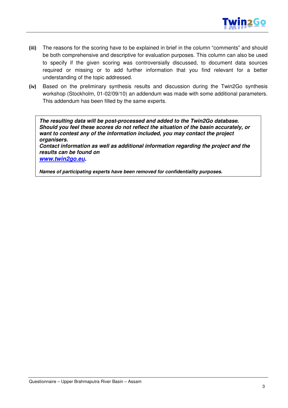

- (iii) The reasons for the scoring have to be explained in brief in the column "comments" and should be both comprehensive and descriptive for evaluation purposes. This column can also be used to specify if the given scoring was controversially discussed, to document data sources required or missing or to add further information that you find relevant for a better understanding of the topic addressed.
- (iv) Based on the preliminary synthesis results and discussion during the Twin2Go synthesis workshop (Stockholm, 01-02/09/10) an addendum was made with some additional parameters. This addendum has been filled by the same experts.

**The resulting data will be post-processed and added to the Twin2Go database. Should you feel these scores do not reflect the situation of the basin accurately, or want to contest any of the information included, you may contact the project organisers.** 

**Contact information as well as additional information regarding the project and the results can be found on** 

**www.twin2go.eu.** 

**Names of participating experts have been removed for confidentiality purposes.**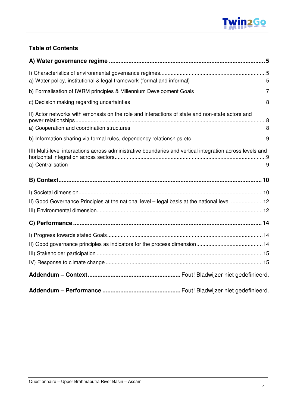

#### **Table of Contents**

| a) Water policy, institutional & legal framework (formal and informal)                                                                        | 5 |
|-----------------------------------------------------------------------------------------------------------------------------------------------|---|
| b) Formalisation of IWRM principles & Millennium Development Goals                                                                            | 7 |
| c) Decision making regarding uncertainties                                                                                                    | 8 |
| II) Actor networks with emphasis on the role and interactions of state and non-state actors and<br>a) Cooperation and coordination structures | 8 |
| b) Information sharing via formal rules, dependency relationships etc.                                                                        | 9 |
| III) Multi-level interactions across administrative boundaries and vertical integration across levels and<br>a) Centralisation                | 9 |
|                                                                                                                                               |   |
| II) Good Governance Principles at the national level - legal basis at the national level 12                                                   |   |
|                                                                                                                                               |   |
|                                                                                                                                               |   |
|                                                                                                                                               |   |
|                                                                                                                                               |   |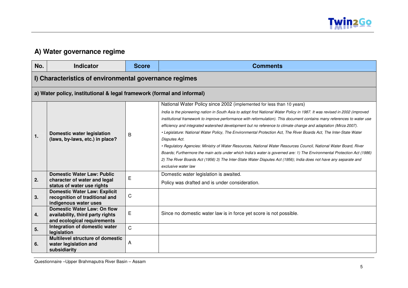

## **A) Water governance regime**

| No. | <b>Indicator</b>                                                                                      | <b>Score</b>   | <b>Comments</b>                                                                                                                                                                                                                                                                                                                                                                                                                                                                                                                                                                                                                                                                                                                                                                                                                                                                        |
|-----|-------------------------------------------------------------------------------------------------------|----------------|----------------------------------------------------------------------------------------------------------------------------------------------------------------------------------------------------------------------------------------------------------------------------------------------------------------------------------------------------------------------------------------------------------------------------------------------------------------------------------------------------------------------------------------------------------------------------------------------------------------------------------------------------------------------------------------------------------------------------------------------------------------------------------------------------------------------------------------------------------------------------------------|
|     | I) Characteristics of environmental governance regimes                                                |                |                                                                                                                                                                                                                                                                                                                                                                                                                                                                                                                                                                                                                                                                                                                                                                                                                                                                                        |
|     | a) Water policy, institutional & legal framework (formal and informal)                                |                |                                                                                                                                                                                                                                                                                                                                                                                                                                                                                                                                                                                                                                                                                                                                                                                                                                                                                        |
|     |                                                                                                       |                | National Water Policy since 2002 (implemented for less than 10 years)                                                                                                                                                                                                                                                                                                                                                                                                                                                                                                                                                                                                                                                                                                                                                                                                                  |
| 1.  | <b>Domestic water legislation</b><br>(laws, by-laws, etc.) in place?                                  | B              | India is the pioneering nation in South Asia to adopt first National Water Policy in 1987. It was revised in 2002 (improved<br>institutional framework to improve performance with reformulation). This document contains many references to water use<br>efficiency and integrated watershed development but no reference to climate change and adaptation (Mirza 2007).<br>· Legislature: National Water Policy, The Environmental Protection Act, The River Boards Act, The Inter-State Water<br>Disputes Act.<br>• Regulatory Agencies: Ministry of Water Resources, National Water Resources Council, National Water Board, River<br>Boards; Furthermore the main acts under which India's water is governed are: 1) The Environmental Protection Act (1986)<br>2) The River Boards Act (1956) 3) The Inter-State Water Disputes Act (1956); India does not have any separate and |
|     | <b>Domestic Water Law: Public</b>                                                                     |                | exclusive water law<br>Domestic water legislation is awaited.                                                                                                                                                                                                                                                                                                                                                                                                                                                                                                                                                                                                                                                                                                                                                                                                                          |
| 2.  | character of water and legal<br>status of water use rights                                            | Е              | Policy was drafted and is under consideration.                                                                                                                                                                                                                                                                                                                                                                                                                                                                                                                                                                                                                                                                                                                                                                                                                                         |
| 3.  | <b>Domestic Water Law: Explicit</b><br>recognition of traditional and<br>indigenous water uses        | С              |                                                                                                                                                                                                                                                                                                                                                                                                                                                                                                                                                                                                                                                                                                                                                                                                                                                                                        |
| 4.  | <b>Domestic Water Law: On flow</b><br>availability, third party rights<br>and ecological requirements | E              | Since no domestic water law is in force yet score is not possible.                                                                                                                                                                                                                                                                                                                                                                                                                                                                                                                                                                                                                                                                                                                                                                                                                     |
| 5.  | Integration of domestic water<br>legislation                                                          | $\overline{C}$ |                                                                                                                                                                                                                                                                                                                                                                                                                                                                                                                                                                                                                                                                                                                                                                                                                                                                                        |
| 6.  | <b>Multilevel structure of domestic</b><br>water legislation and<br>subsidiarity                      | A              |                                                                                                                                                                                                                                                                                                                                                                                                                                                                                                                                                                                                                                                                                                                                                                                                                                                                                        |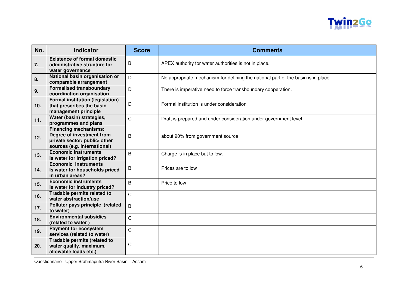

| No. | <b>Indicator</b>                                                                                                           | <b>Score</b> | <b>Comments</b>                                                                   |
|-----|----------------------------------------------------------------------------------------------------------------------------|--------------|-----------------------------------------------------------------------------------|
| 7.  | <b>Existence of formal domestic</b><br>administrative structure for<br>water governance                                    | B            | APEX authority for water authorities is not in place.                             |
| 8.  | National basin organisation or<br>comparable arrangement                                                                   | D            | No appropriate mechanism for defining the national part of the basin is in place. |
| 9.  | <b>Formalised transboundary</b><br>coordination organisation                                                               | D            | There is imperative need to force transboundary cooperation.                      |
| 10. | <b>Formal institution (legislation)</b><br>that prescribes the basin<br>management principle                               | D            | Formal institution is under consideration                                         |
| 11. | Water (basin) strategies,<br>programmes and plans                                                                          | $\mathsf{C}$ | Draft is prepared and under consideration under government level.                 |
| 12. | <b>Financing mechanisms:</b><br>Degree of investment from<br>private sector/ public/ other<br>sources (e.g. international) | B            | about 90% from government source                                                  |
| 13. | <b>Economic instruments</b><br>Is water for irrigation priced?                                                             | B            | Charge is in place but to low.                                                    |
| 14. | <b>Economic instruments</b><br>Is water for households priced<br>in urban areas?                                           | B            | Prices are to low                                                                 |
| 15. | <b>Economic instruments</b><br>Is water for industry priced?                                                               | B            | Price to low                                                                      |
| 16. | Tradable permits related to<br>water abstraction/use                                                                       | $\mathsf{C}$ |                                                                                   |
| 17. | Polluter pays principle (related<br>to water)                                                                              | B            |                                                                                   |
| 18. | <b>Environmental subsidies</b><br>(related to water)                                                                       | $\mathsf C$  |                                                                                   |
| 19. | <b>Payment for ecosystem</b><br>services (related to water)                                                                | $\mathsf C$  |                                                                                   |
| 20. | Tradable permits (related to<br>water quality, maximum,<br>allowable loads etc.)                                           | C            |                                                                                   |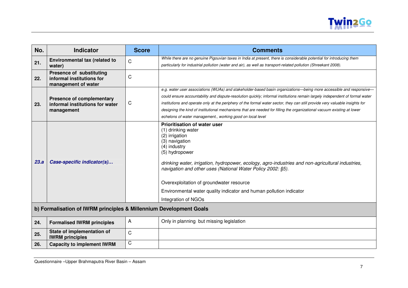

| No.  | <b>Indicator</b>                                                                    | <b>Score</b> | <b>Comments</b>                                                                                                                                                                                                                                                                                                                                                                                                                               |
|------|-------------------------------------------------------------------------------------|--------------|-----------------------------------------------------------------------------------------------------------------------------------------------------------------------------------------------------------------------------------------------------------------------------------------------------------------------------------------------------------------------------------------------------------------------------------------------|
|      | Environmental tax (related to                                                       | C            | While there are no genuine Pigouvian taxes in India at present, there is considerable potential for introducing them                                                                                                                                                                                                                                                                                                                          |
| 21.  | water)                                                                              |              | particularly for industrial pollution (water and air), as well as transport-related pollution (Shreekant 2008).                                                                                                                                                                                                                                                                                                                               |
| 22.  | <b>Presence of substituting</b><br>informal institutions for<br>management of water | C            |                                                                                                                                                                                                                                                                                                                                                                                                                                               |
|      |                                                                                     |              | e.g. water user associations (WUAs) and stakeholder-based basin organizations-being more accessible and responsive-                                                                                                                                                                                                                                                                                                                           |
|      | <b>Presence of complementary</b>                                                    |              | could ensure accountability and dispute-resolution quickly; informal institutions remain largely independent of formal water                                                                                                                                                                                                                                                                                                                  |
| 23.  | informal institutions for water                                                     | C            | institutions and operate only at the periphery of the formal water sector, they can still provide very valuable insights for                                                                                                                                                                                                                                                                                                                  |
|      | management                                                                          |              | designing the kind of institutional mechanisms that are needed for filling the organizational vacuum existing at lower                                                                                                                                                                                                                                                                                                                        |
|      |                                                                                     |              | echelons of water management., working good on local level                                                                                                                                                                                                                                                                                                                                                                                    |
| 23.a | Case-specific indicator(s)                                                          |              | <b>Prioritisation of water user</b><br>(1) drinking water<br>(2) irrigation<br>(3) navigation<br>(4) industry<br>(5) hydropower<br>drinking water, irrigation, hydropower, ecology, agro-industries and non-agricultural industries,<br>navigation and other uses (National Water Policy 2002: §5).<br>Overexploitation of groundwater resource<br>Environmental water quality indicator and human pollution indicator<br>Integration of NGOs |
|      | b) Formalisation of IWRM principles & Millennium Development Goals                  |              |                                                                                                                                                                                                                                                                                                                                                                                                                                               |
| 24.  | <b>Formalised IWRM principles</b>                                                   | A            | Only in planning but missing legislation                                                                                                                                                                                                                                                                                                                                                                                                      |
| 25.  | State of implementation of<br><b>IWRM</b> principles                                | $\mathsf{C}$ |                                                                                                                                                                                                                                                                                                                                                                                                                                               |
| 26.  | <b>Capacity to implement IWRM</b>                                                   | C            |                                                                                                                                                                                                                                                                                                                                                                                                                                               |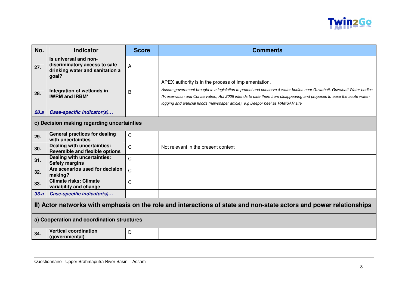

| No.                                                                                                                 | <b>Indicator</b>                                                                                   | <b>Score</b>   | <b>Comments</b>                                                                                                                                                                                                                                                                                                                                                                            |
|---------------------------------------------------------------------------------------------------------------------|----------------------------------------------------------------------------------------------------|----------------|--------------------------------------------------------------------------------------------------------------------------------------------------------------------------------------------------------------------------------------------------------------------------------------------------------------------------------------------------------------------------------------------|
| 27.                                                                                                                 | Is universal and non-<br>discriminatory access to safe<br>drinking water and sanitation a<br>goal? | A              |                                                                                                                                                                                                                                                                                                                                                                                            |
| 28.                                                                                                                 | Integration of wetlands in<br><b>IWRM and IRBM*</b>                                                | B              | APEX authority is in the process of implementation.<br>Assam government brought in a legislation to protect and conserve 4 water bodies near Guwahati. Guwahati Water-bodies<br>(Preservation and Conservation) Act 2008 intends to safe them from disappearing and proposes to ease the acute water-<br>logging and artificial floods (newspaper article), e.g Deepor beel as RAMSAR site |
| 28.a                                                                                                                | Case-specific indicator(s)                                                                         |                |                                                                                                                                                                                                                                                                                                                                                                                            |
|                                                                                                                     | c) Decision making regarding uncertainties                                                         |                |                                                                                                                                                                                                                                                                                                                                                                                            |
| 29.                                                                                                                 | <b>General practices for dealing</b><br>with uncertainties                                         | C              |                                                                                                                                                                                                                                                                                                                                                                                            |
| 30.                                                                                                                 | Dealing with uncertainties:<br><b>Reversible and flexible options</b>                              | $\mathsf{C}$   | Not relevant in the present context                                                                                                                                                                                                                                                                                                                                                        |
| 31.                                                                                                                 | Dealing with uncertainties:<br><b>Safety margins</b>                                               | $\mathsf{C}$   |                                                                                                                                                                                                                                                                                                                                                                                            |
| 32.                                                                                                                 | Are scenarios used for decision<br>making?                                                         | $\overline{C}$ |                                                                                                                                                                                                                                                                                                                                                                                            |
| 33.                                                                                                                 | <b>Climate risks: Climate</b><br>variability and change                                            | $\mathsf{C}$   |                                                                                                                                                                                                                                                                                                                                                                                            |
| 33.a                                                                                                                | Case-specific indicator(s)                                                                         |                |                                                                                                                                                                                                                                                                                                                                                                                            |
| II) Actor networks with emphasis on the role and interactions of state and non-state actors and power relationships |                                                                                                    |                |                                                                                                                                                                                                                                                                                                                                                                                            |
|                                                                                                                     | a) Cooperation and coordination structures                                                         |                |                                                                                                                                                                                                                                                                                                                                                                                            |
| 34.                                                                                                                 | <b>Vertical coordination</b><br>(governmental)                                                     | D              |                                                                                                                                                                                                                                                                                                                                                                                            |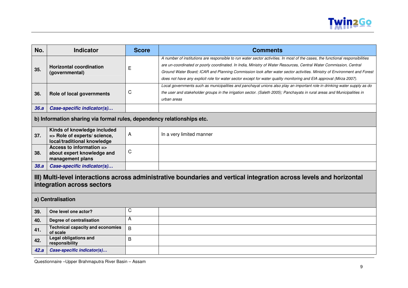

| No.                                                                                                                                                                     | <b>Indicator</b>                                                                           | <b>Score</b> | <b>Comments</b>                                                                                                                                                                                                                                                                                                                                                                                                                                                                                        |
|-------------------------------------------------------------------------------------------------------------------------------------------------------------------------|--------------------------------------------------------------------------------------------|--------------|--------------------------------------------------------------------------------------------------------------------------------------------------------------------------------------------------------------------------------------------------------------------------------------------------------------------------------------------------------------------------------------------------------------------------------------------------------------------------------------------------------|
| 35.                                                                                                                                                                     | <b>Horizontal coordination</b><br>(governmental)                                           | E            | A number of institutions are responsible to run water sector activities. In most of the cases, the functional responsibilities<br>are un-coordinated or poorly coordinated. In India, Ministry of Water Resources, Central Water Commission, Central<br>Ground Water Board; ICAR and Planning Commission look after water sector activities. Ministry of Environment and Forest<br>does not have any explicit role for water sector except for water quality monitoring and EIA approval (Mirza 2007). |
| 36.                                                                                                                                                                     | Role of local governments                                                                  | C            | Local governments such as municipalities and panchayat unions also play an important role in drinking water supply as do<br>the user and stakeholder groups in the irrigation sector. (Saleth 2005); Panchayats in rural areas and Municipalities in<br>urban areas                                                                                                                                                                                                                                    |
| 36.a                                                                                                                                                                    | Case-specific indicator(s)                                                                 |              |                                                                                                                                                                                                                                                                                                                                                                                                                                                                                                        |
|                                                                                                                                                                         | b) Information sharing via formal rules, dependency relationships etc.                     |              |                                                                                                                                                                                                                                                                                                                                                                                                                                                                                                        |
| 37.                                                                                                                                                                     | Kinds of knowledge included<br>=> Role of experts/ science,<br>local/traditional knowledge | A            | In a very limited manner                                                                                                                                                                                                                                                                                                                                                                                                                                                                               |
| 38.                                                                                                                                                                     | Access to information =><br>about expert knowledge and<br>management plans                 | C            |                                                                                                                                                                                                                                                                                                                                                                                                                                                                                                        |
| 38.a                                                                                                                                                                    | Case-specific indicator(s)                                                                 |              |                                                                                                                                                                                                                                                                                                                                                                                                                                                                                                        |
| III) Multi-level interactions across administrative boundaries and vertical integration across levels and horizontal<br>integration across sectors<br>a) Centralisation |                                                                                            |              |                                                                                                                                                                                                                                                                                                                                                                                                                                                                                                        |
|                                                                                                                                                                         |                                                                                            | C            |                                                                                                                                                                                                                                                                                                                                                                                                                                                                                                        |
| 39.                                                                                                                                                                     | One level one actor?                                                                       | А            |                                                                                                                                                                                                                                                                                                                                                                                                                                                                                                        |
| 40.                                                                                                                                                                     | Degree of centralisation<br><b>Technical capacity and economies</b>                        |              |                                                                                                                                                                                                                                                                                                                                                                                                                                                                                                        |
| 41.                                                                                                                                                                     | of scale                                                                                   | B            |                                                                                                                                                                                                                                                                                                                                                                                                                                                                                                        |
| 42.                                                                                                                                                                     | <b>Legal obligations and</b><br>responsibility                                             | B            |                                                                                                                                                                                                                                                                                                                                                                                                                                                                                                        |
| 42.a                                                                                                                                                                    | Case-specific indicator(s)                                                                 |              |                                                                                                                                                                                                                                                                                                                                                                                                                                                                                                        |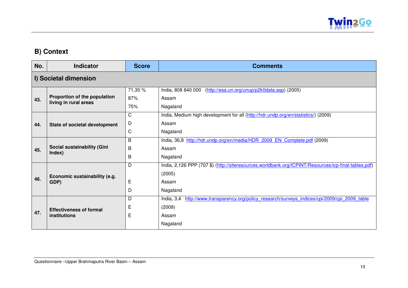

## **B) Context**

| No. | Indicator                                             | <b>Score</b> | <b>Comments</b>                                                                                      |
|-----|-------------------------------------------------------|--------------|------------------------------------------------------------------------------------------------------|
|     | I) Societal dimension                                 |              |                                                                                                      |
|     |                                                       | 71,30 %      | India, 808 840 000<br>(http://esa.un.org/unup/p2k0data.asp) (2005)                                   |
| 43. | Proportion of the population<br>living in rural areas | 87%          | Assam                                                                                                |
|     |                                                       | 75%          | Nagaland                                                                                             |
|     |                                                       | C            | India, Medium high development for all (http://hdr.undp.org/en/statistics/) (2009)                   |
| 44. | State of societal development                         | D            | Assam                                                                                                |
|     |                                                       | C            | Nagaland                                                                                             |
|     |                                                       | B            | India, 36,8 http://hdr.undp.org/en/media/HDR 2009 EN Complete.pdf (2009)                             |
| 45. | Social sustainability (Gini                           | B            | Assam                                                                                                |
|     | Index)                                                | B            | Nagaland                                                                                             |
|     |                                                       | D            | India, 2,126 PPP (707 \$) (http://siteresources.worldbank.org/ICPINT/Resources/icp-final-tables.pdf) |
|     | Economic sustainability (e.g.                         |              | (2005)                                                                                               |
| 46. | GDP)                                                  | E            | Assam                                                                                                |
|     |                                                       | D            | Nagaland                                                                                             |
|     |                                                       | D            | http://www.transparency.org/policy research/surveys indices/cpi/2009/cpi 2009 table<br>India, $3,4$  |
|     | <b>Effectiveness of formal</b>                        | Е            | (2009)                                                                                               |
| 47. | institutions                                          | E            | Assam                                                                                                |
|     |                                                       |              | Nagaland                                                                                             |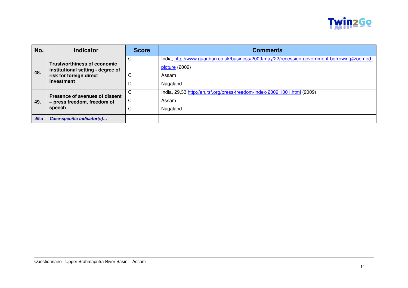

| No.  | <b>Indicator</b>                                                        | <b>Score</b>     | <b>Comments</b>                                                                                                |
|------|-------------------------------------------------------------------------|------------------|----------------------------------------------------------------------------------------------------------------|
|      | <b>Trustworthiness of economic</b><br>institutional setting - degree of | С                | India, http://www.guardian.co.uk/business/2009/may/22/recession-government-borrowing#zoomed-<br>picture (2009) |
| 48.  | risk for foreign direct<br>investment                                   | C                | Assam<br>Nagaland                                                                                              |
| 49.  | Presence of avenues of dissent<br>- press freedom, freedom of<br>speech | C<br>C<br>⌒<br>U | India, 29,33 http://en.rsf.org/press-freedom-index-2009,1001.html (2009)<br>Assam<br>Nagaland                  |
| 49.a | Case-specific indicator(s)                                              |                  |                                                                                                                |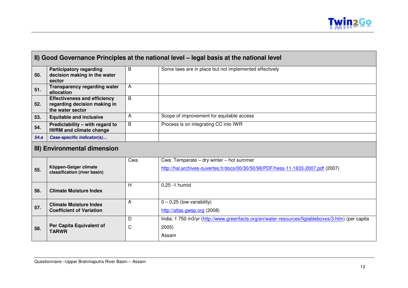|      | II) Good Governance Principles at the national level – legal basis at the national level |   |                                                        |
|------|------------------------------------------------------------------------------------------|---|--------------------------------------------------------|
| 50.  | <b>Participatory regarding</b><br>decision making in the water<br>sector                 | В | Some laws are in place but not implemented effectively |
| 51.  | <b>Transparency regarding water</b><br>allocation                                        | A |                                                        |
| 52.  | <b>Effectiveness and efficiency</b><br>regarding decision making in<br>the water sector  | B |                                                        |
| 53.  | <b>Equitable and inclusive</b>                                                           |   | Scope of improvement for equitable access              |
| 54.  | Predictability - with regard to<br><b>IWRM and climate change</b>                        | B | Process is on integrating CC into IWR                  |
| 54.a | Case-specific indicator(s)                                                               |   |                                                        |

# **III) Environmental dimension**

|     |                                                                  | Cwa | Cwa: Temperate – dry winter – hot summer                                                          |
|-----|------------------------------------------------------------------|-----|---------------------------------------------------------------------------------------------------|
| 55. | Köppen-Geiger climate<br>classification (river basin)            |     | http://hal.archives-ouvertes.fr/docs/00/30/50/98/PDF/hess-11-1633-2007.pdf (2007)                 |
| 56. | <b>Climate Moisture Index</b>                                    | H   | $0,25 - 1$ humid                                                                                  |
| 57. | <b>Climate Moisture Index</b><br><b>Coefficient of Variation</b> | A   | $0 - 0,25$ (low variability)<br>http://atlas.gwsp.org (2008)                                      |
|     | Per Capita Equivalent of                                         |     | India: 1 750 m3/yr (http://www.greenfacts.org/en/water-resources/figtableboxes/3.htm) (per capita |
| 58. | <b>TARWR</b>                                                     | C   | 2005)<br>Assam                                                                                    |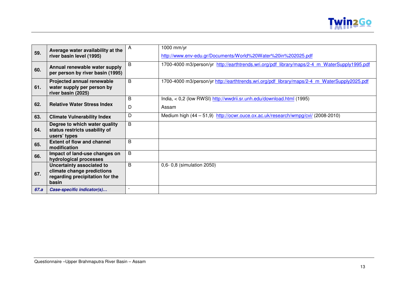

|      | Average water availability at the                                              | A              | 1000 mm/yr                                                                                   |
|------|--------------------------------------------------------------------------------|----------------|----------------------------------------------------------------------------------------------|
| 59.  | river basin level (1995)                                                       |                | http://www.env-edu.gr/Documents/World%20Water%20in%202025.pdf                                |
| 60.  | Annual renewable water supply<br>per person by river basin (1995)              | B              | 1700-4000 m3/person/yr http://earthtrends.wri.org/pdf library/maps/2-4 m WaterSupply1995.pdf |
| 61.  | Projected annual renewable<br>water supply per person by<br>river basin (2025) | B              | 1700-4000 m3/person/yr http://earthtrends.wri.org/pdf library/maps/2-4 m WaterSupply2025.pdf |
|      |                                                                                | B              | India, < 0,2 (low RWSI) http://wwdrii.sr.unh.edu/download.html (1995)                        |
| 62.  | <b>Relative Water Stress Index</b>                                             | D              | Assam                                                                                        |
| 63.  | <b>Climate Vulnerability Index</b>                                             | D              | Medium high (44 - 51,9) http://ocwr.ouce.ox.ac.uk/research/wmpg/cvi/ (2008-2010)             |
|      | Degree to which water quality                                                  | B              |                                                                                              |
| 64.  | status restricts usability of<br>users' types                                  |                |                                                                                              |
| 65.  | <b>Extent of flow and channel</b><br>modification                              | B              |                                                                                              |
| 66.  | Impact of land-use changes on<br>hydrological processes                        | $\overline{B}$ |                                                                                              |
|      | Uncertainty associated to                                                      | B              | 0,6- 0,8 (simulation 2050)                                                                   |
| 67.  | climate change predictions<br>regarding precipitation for the                  |                |                                                                                              |
|      | basin                                                                          |                |                                                                                              |
| 67.a | Case-specific indicator(s)                                                     |                |                                                                                              |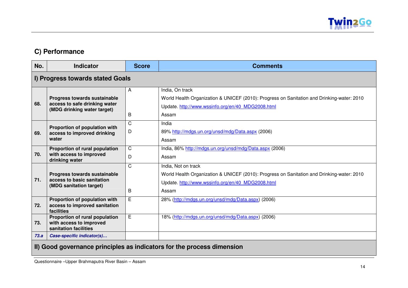

## **C) Performance**

| No.  | <b>Indicator</b>                                                                             | <b>Score</b>      | <b>Comments</b>                                                                                                                                                                 |
|------|----------------------------------------------------------------------------------------------|-------------------|---------------------------------------------------------------------------------------------------------------------------------------------------------------------------------|
|      | I) Progress towards stated Goals                                                             |                   |                                                                                                                                                                                 |
| 68.  | Progress towards sustainable<br>access to safe drinking water<br>(MDG drinking water target) | A<br>B            | India, On track<br>World Health Organization & UNICEF (2010): Progress on Sanitation and Drinking-water: 2010<br>Update. http://www.wssinfo.org/en/40 MDG2008.html<br>Assam     |
| 69.  | Proportion of population with<br>access to improved drinking<br>water                        | $\mathsf{C}$<br>D | India<br>89% http://mdgs.un.org/unsd/mdg/Data.aspx (2006)<br>Assam                                                                                                              |
| 70.  | Proportion of rural population<br>with access to improved<br>drinking water                  | $\mathsf{C}$<br>D | India, 86% http://mdgs.un.org/unsd/mdg/Data.aspx (2006)<br>Assam                                                                                                                |
| 71.  | Progress towards sustainable<br>access to basic sanitation<br>(MDG sanitation target)        | C<br>B            | India, Not on track<br>World Health Organization & UNICEF (2010): Progress on Sanitation and Drinking-water: 2010<br>Update. http://www.wssinfo.org/en/40 MDG2008.html<br>Assam |
| 72.  | Proportion of population with<br>access to improved sanitation<br>facilities                 | E                 | 28% (http://mdgs.un.org/unsd/mdg/Data.aspx) (2006)                                                                                                                              |
| 73.  | Proportion of rural population<br>with access to improved<br>sanitation facilities           | E                 | 18% (http://mdgs.un.org/unsd/mdg/Data.aspx) (2006)                                                                                                                              |
| 73.a | Case-specific indicator(s)                                                                   |                   |                                                                                                                                                                                 |

#### **II) Good governance principles as indicators for the process dimension**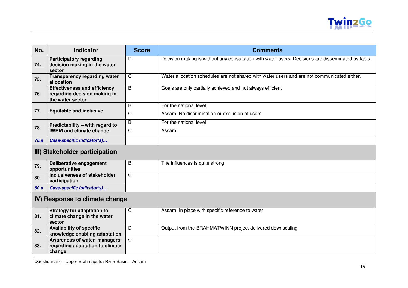

| No.                            | <b>Indicator</b>                                                                        | <b>Score</b> | <b>Comments</b>                                                                                    |
|--------------------------------|-----------------------------------------------------------------------------------------|--------------|----------------------------------------------------------------------------------------------------|
| 74.                            | <b>Participatory regarding</b><br>decision making in the water<br>sector                | D            | Decision making is without any consultation with water users. Decisions are disseminated as facts. |
| 75.                            | <b>Transparency regarding water</b><br>allocation                                       | C            | Water allocation schedules are not shared with water users and are not communicated either.        |
| 76.                            | <b>Effectiveness and efficiency</b><br>regarding decision making in<br>the water sector | B            | Goals are only partially achieved and not always efficient                                         |
| 77.                            | <b>Equitable and inclusive</b>                                                          | B<br>C       | For the national level<br>Assam: No discrimination or exclusion of users                           |
| 78.                            | Predictability - with regard to<br><b>IWRM and climate change</b>                       | B<br>C       | For the national level<br>Assam:                                                                   |
| 78.a                           | Case-specific indicator(s)                                                              |              |                                                                                                    |
| III) Stakeholder participation |                                                                                         |              |                                                                                                    |
| 79.                            | Deliberative engagement<br>opportunities                                                | B            | The influences is quite strong                                                                     |
| 80.                            | Inclusiveness of stakeholder<br>participation                                           | $\mathsf{C}$ |                                                                                                    |
| 80.a                           | Case-specific indicator(s)                                                              |              |                                                                                                    |
| IV) Response to climate change |                                                                                         |              |                                                                                                    |
| 81.                            | <b>Strategy for adaptation to</b><br>climate change in the water<br>sector              | C            | Assam: In place with specific reference to water                                                   |
| 82.                            | <b>Availability of specific</b><br>knowledge enabling adaptation                        | D            | Output from the BRAHMATWINN project delivered downscaling                                          |
| 83.                            | Awareness of water managers<br>regarding adaptation to climate<br>change                | $\mathsf{C}$ |                                                                                                    |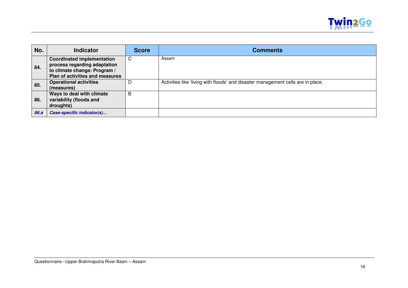

| No.  | <b>Indicator</b>                                                                                                                     | <b>Score</b> | <b>Comments</b>                                                                  |
|------|--------------------------------------------------------------------------------------------------------------------------------------|--------------|----------------------------------------------------------------------------------|
| 84.  | <b>Coordinated implementation</b><br>process regarding adaptation<br>to climate change: Program /<br>Plan of activities and measures | C            | Assam                                                                            |
| 85.  | <b>Operational activities</b><br>(measures)                                                                                          | D            | Activities like 'living with floods' and disaster management cells are in place. |
| 86.  | Ways to deal with climate<br>variability (floods and<br>droughts)                                                                    | B            |                                                                                  |
| 86.a | Case-specific indicator(s)                                                                                                           |              |                                                                                  |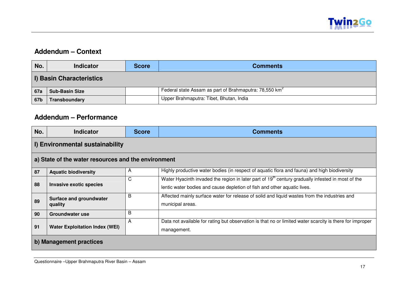

### **Addendum – Context**

| No.                             | <b>Indicator</b>      | <b>Score</b> | <b>Comments</b>                                                    |  |
|---------------------------------|-----------------------|--------------|--------------------------------------------------------------------|--|
| <b>I) Basin Characteristics</b> |                       |              |                                                                    |  |
| <b>67a</b>                      | <b>Sub-Basin Size</b> |              | Federal state Assam as part of Brahmaputra: 78,550 km <sup>2</sup> |  |
| 67b                             | Transboundary         |              | Upper Brahmaputra: Tibet, Bhutan, India                            |  |

### **Addendum – Performance**

| No.                                                 | <b>Indicator</b>                      | <b>Score</b> | <b>Comments</b>                                                                                                                                                                           |  |
|-----------------------------------------------------|---------------------------------------|--------------|-------------------------------------------------------------------------------------------------------------------------------------------------------------------------------------------|--|
| I) Environmental sustainability                     |                                       |              |                                                                                                                                                                                           |  |
| a) State of the water resources and the environment |                                       |              |                                                                                                                                                                                           |  |
| 87                                                  | <b>Aquatic biodiversity</b>           | A            | Highly productive water bodies (in respect of aquatic flora and fauna) and high biodiversity                                                                                              |  |
| 88                                                  | <b>Invasive exotic species</b>        | C            | Water Hyacinth invaded the region in later part of 19 <sup>th</sup> century gradually infested in most of the<br>lentic water bodies and cause depletion of fish and other aquatic lives. |  |
| 89                                                  | Surface and groundwater<br>quality    | B            | Affected mainly surface water for release of solid and liquid wastes from the industries and<br>municipal areas.                                                                          |  |
| 90                                                  | <b>Groundwater use</b>                | B            |                                                                                                                                                                                           |  |
| 91                                                  | <b>Water Exploitation Index (WEI)</b> | A            | Data not available for rating but observation is that no or limited water scarcity is there for improper<br>management.                                                                   |  |
| b) Management practices                             |                                       |              |                                                                                                                                                                                           |  |